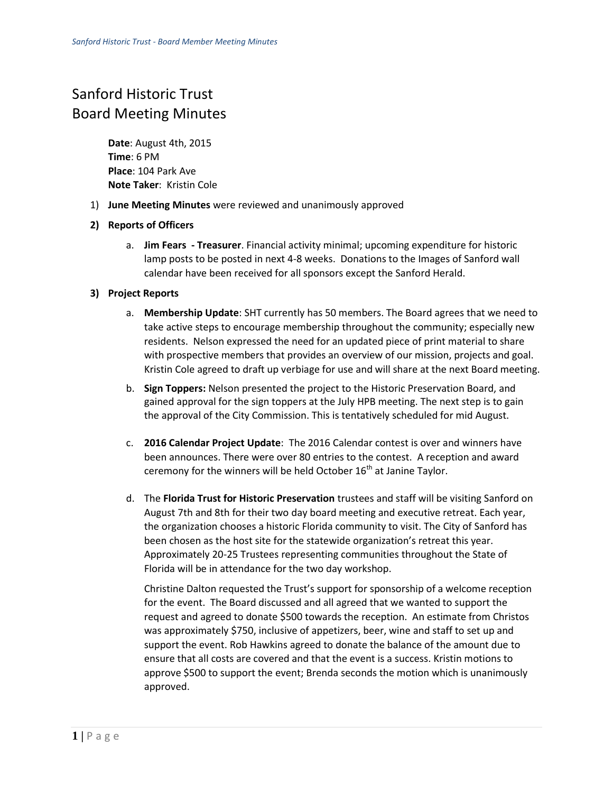## Sanford Historic Trust Board Meeting Minutes

**Date**: August 4th, 2015 **Time**: 6 PM **Place**: 104 Park Ave **Note Taker**: Kristin Cole

1) **June Meeting Minutes** were reviewed and unanimously approved

## **2) Reports of Officers**

a. **Jim Fears - Treasurer**. Financial activity minimal; upcoming expenditure for historic lamp posts to be posted in next 4-8 weeks. Donations to the Images of Sanford wall calendar have been received for all sponsors except the Sanford Herald.

## **3) Project Reports**

- a. **Membership Update**: SHT currently has 50 members. The Board agrees that we need to take active steps to encourage membership throughout the community; especially new residents. Nelson expressed the need for an updated piece of print material to share with prospective members that provides an overview of our mission, projects and goal. Kristin Cole agreed to draft up verbiage for use and will share at the next Board meeting.
- b. **Sign Toppers:** Nelson presented the project to the Historic Preservation Board, and gained approval for the sign toppers at the July HPB meeting. The next step is to gain the approval of the City Commission. This is tentatively scheduled for mid August.
- c. **2016 Calendar Project Update**: The 2016 Calendar contest is over and winners have been announces. There were over 80 entries to the contest. A reception and award ceremony for the winners will be held October  $16<sup>th</sup>$  at Janine Taylor.
- d. The **Florida Trust for Historic Preservation** trustees and staff will be visiting Sanford on August 7th and 8th for their two day board meeting and executive retreat. Each year, the organization chooses a historic Florida community to visit. The City of Sanford has been chosen as the host site for the statewide organization's retreat this year. Approximately 20-25 Trustees representing communities throughout the State of Florida will be in attendance for the two day workshop.

Christine Dalton requested the Trust's support for sponsorship of a welcome reception for the event. The Board discussed and all agreed that we wanted to support the request and agreed to donate \$500 towards the reception. An estimate from Christos was approximately \$750, inclusive of appetizers, beer, wine and staff to set up and support the event. Rob Hawkins agreed to donate the balance of the amount due to ensure that all costs are covered and that the event is a success. Kristin motions to approve \$500 to support the event; Brenda seconds the motion which is unanimously approved.